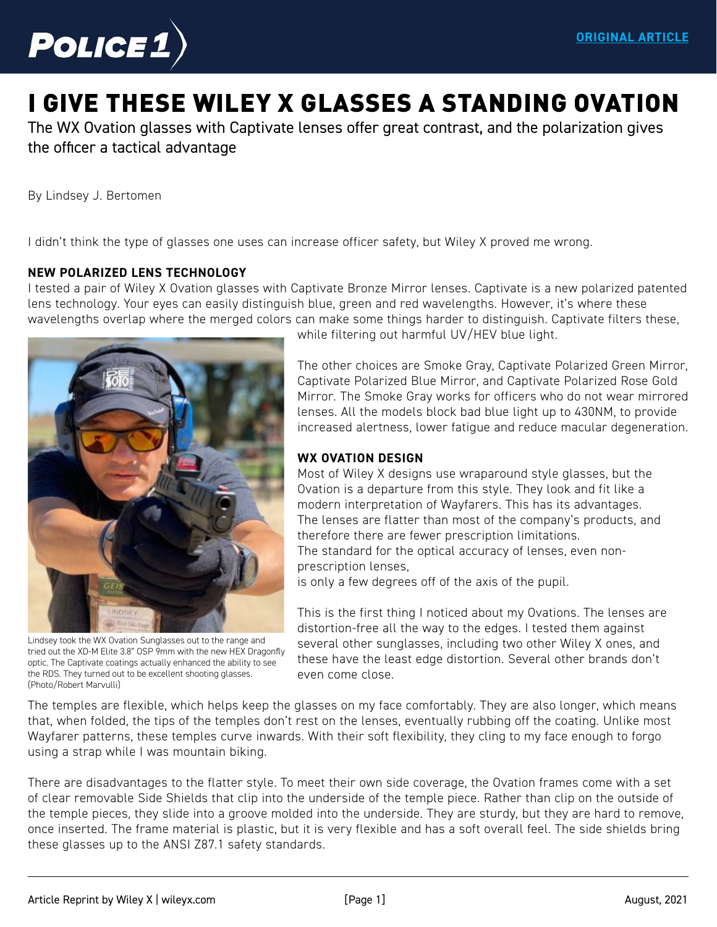

# [I GIVE THESE WILEY X GLASSES A STANDING OVATION](https://www.police1.com/police-products/apparel/eyewear/articles/i-give-these-wiley-x-glasses-a-standing-ovation-LnZFDiibLreNnNKa/)

The WX Ovation glasses with Captivate lenses offer great contrast, and the polarization gives the officer a tactical advantage

By Lindsey J. Bertomen

I didn't think the type of glasses one uses can increase officer safety, but Wiley X proved me wrong.

#### **NEW POLARIZED LENS TECHNOLOGY**

I tested a pair of Wiley X Ovation glasses with Captivate Bronze Mirror lenses. Captivate is a new polarized patented lens technology. Your eyes can easily distinguish blue, green and red wavelengths. However, it's where these wavelengths overlap where the merged colors can make some things harder to distinguish. Captivate filters these,



Lindsey took the WX Ovation Sunglasses out to the range and tried out the XD-M Elite 3.8" OSP 9mm with the new HEX Dragonfly optic. The Captivate coatings actually enhanced the ability to see the RDS. They turned out to be excellent shooting glasses. (Photo/Robert Marvulli)

while filtering out harmful UV/HEV blue light.

The other choices are Smoke Gray, Captivate Polarized Green Mirror, Captivate Polarized Blue Mirror, and Captivate Polarized Rose Gold Mirror. The Smoke Gray works for officers who do not wear mirrored lenses. All the models block bad blue light up to 430NM, to provide increased alertness, lower fatigue and reduce macular degeneration.

### **WX OVATION DESIGN**

Most of Wiley X designs use wraparound style glasses, but the Ovation is a departure from this style. They look and fit like a modern interpretation of Wayfarers. This has its advantages. The lenses are flatter than most of the company's products, and therefore there are fewer prescription limitations. The standard for the optical accuracy of lenses, even nonprescription lenses,

is only a few degrees off of the axis of the pupil.

This is the first thing I noticed about my Ovations. The lenses are distortion-free all the way to the edges. I tested them against several other sunglasses, including two other Wiley X ones, and these have the least edge distortion. Several other brands don't even come close.

The temples are flexible, which helps keep the glasses on my face comfortably. They are also longer, which means that, when folded, the tips of the temples don't rest on the lenses, eventually rubbing off the coating. Unlike most Wayfarer patterns, these temples curve inwards. With their soft flexibility, they cling to my face enough to forgo using a strap while I was mountain biking.

There are disadvantages to the flatter style. To meet their own side coverage, the Ovation frames come with a set of clear removable Side Shields that clip into the underside of the temple piece. Rather than clip on the outside of the temple pieces, they slide into a groove molded into the underside. They are sturdy, but they are hard to remove, once inserted. The frame material is plastic, but it is very flexible and has a soft overall feel. The side shields bring these glasses up to the ANSI Z87.1 safety standards.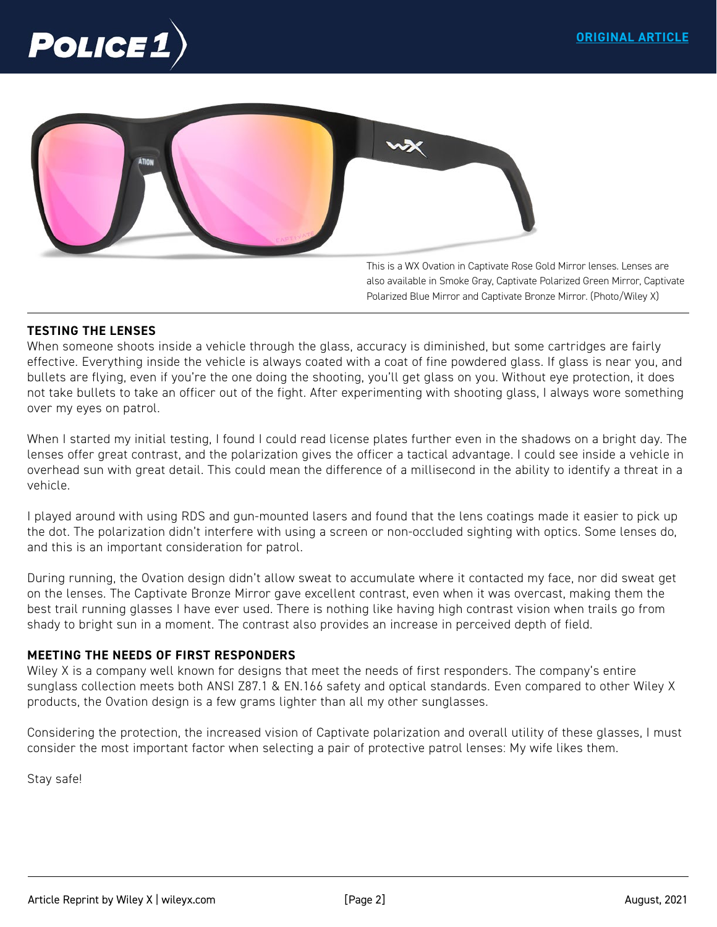



This is a WX Ovation in Captivate Rose Gold Mirror lenses. Lenses are also available in Smoke Gray, Captivate Polarized Green Mirror, Captivate Polarized Blue Mirror and Captivate Bronze Mirror. (Photo/Wiley X)

# **TESTING THE LENSES**

When someone shoots inside a vehicle through the glass, accuracy is diminished, but some cartridges are fairly effective. Everything inside the vehicle is always coated with a coat of fine powdered glass. If glass is near you, and bullets are flying, even if you're the one doing the shooting, you'll get glass on you. Without eye protection, it does not take bullets to take an officer out of the fight. After experimenting with shooting glass, I always wore something over my eyes on patrol.

When I started my initial testing, I found I could read license plates further even in the shadows on a bright day. The lenses offer great contrast, and the polarization gives the officer a tactical advantage. I could see inside a vehicle in overhead sun with great detail. This could mean the difference of a millisecond in the ability to identify a threat in a vehicle.

I played around with using RDS and gun-mounted lasers and found that the lens coatings made it easier to pick up the dot. The polarization didn't interfere with using a screen or non-occluded sighting with optics. Some lenses do, and this is an important consideration for patrol.

During running, the Ovation design didn't allow sweat to accumulate where it contacted my face, nor did sweat get on the lenses. The Captivate Bronze Mirror gave excellent contrast, even when it was overcast, making them the best trail running glasses I have ever used. There is nothing like having high contrast vision when trails go from shady to bright sun in a moment. The contrast also provides an increase in perceived depth of field.

## **MEETING THE NEEDS OF FIRST RESPONDERS**

Wiley X is a company well known for designs that meet the needs of first responders. The company's entire sunglass collection meets both ANSI Z87.1 & EN.166 safety and optical standards. Even compared to other Wiley X products, the Ovation design is a few grams lighter than all my other sunglasses.

Considering the protection, the increased vision of Captivate polarization and overall utility of these glasses, I must consider the most important factor when selecting a pair of protective patrol lenses: My wife likes them.

Stay safe!